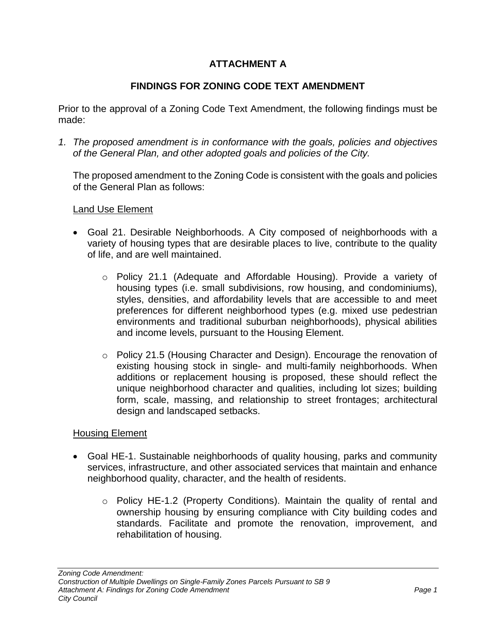## **ATTACHMENT A**

## **FINDINGS FOR ZONING CODE TEXT AMENDMENT**

Prior to the approval of a Zoning Code Text Amendment, the following findings must be made:

*1. The proposed amendment is in conformance with the goals, policies and objectives of the General Plan, and other adopted goals and policies of the City.*

The proposed amendment to the Zoning Code is consistent with the goals and policies of the General Plan as follows:

## Land Use Element

- Goal 21. Desirable Neighborhoods. A City composed of neighborhoods with a variety of housing types that are desirable places to live, contribute to the quality of life, and are well maintained.
	- o Policy 21.1 (Adequate and Affordable Housing). Provide a variety of housing types (i.e. small subdivisions, row housing, and condominiums), styles, densities, and affordability levels that are accessible to and meet preferences for different neighborhood types (e.g. mixed use pedestrian environments and traditional suburban neighborhoods), physical abilities and income levels, pursuant to the Housing Element.
	- $\circ$  Policy 21.5 (Housing Character and Design). Encourage the renovation of existing housing stock in single- and multi-family neighborhoods. When additions or replacement housing is proposed, these should reflect the unique neighborhood character and qualities, including lot sizes; building form, scale, massing, and relationship to street frontages; architectural design and landscaped setbacks.

## Housing Element

- Goal HE-1. Sustainable neighborhoods of quality housing, parks and community services, infrastructure, and other associated services that maintain and enhance neighborhood quality, character, and the health of residents.
	- $\circ$  Policy HE-1.2 (Property Conditions). Maintain the quality of rental and ownership housing by ensuring compliance with City building codes and standards. Facilitate and promote the renovation, improvement, and rehabilitation of housing.